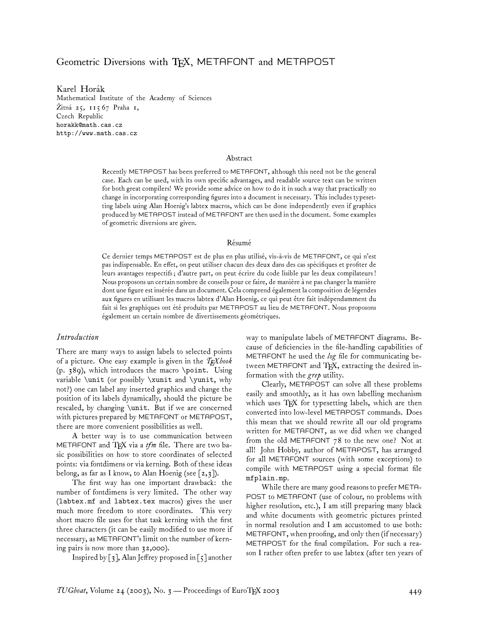# Geometric Diversions with TEX, METAFONT and METAPOST

Karel Horák Mathematical Institute of the Academy of Sciences Žitná 25, 115 67 Praha 1, Czech Republic horakk@math.cas.cz http://www.math.cas.cz

#### Abstract

Recently METAPOST has been preferred to METAFONT, although this need not be the general case. Each can be used, with its own specific advantages, and readable source text can be written for both great compilers! We provide some advice on how to do it in such a way that practically no change in incorporating corresponding figures into a document is necessary. This includes typesetting labels using Alan Hoenig's labtex macros, which can be done independently even if graphics produced by METAPOST instead of METAFONT are then used in the document. Some examples of geometric diversions are given.

#### Résumé

Ce dernier temps METAPOST est de plus en plus utilisé, vis-à-vis de METAFONT, ce qui n'est pas indispensable. En effet, on peut utiliser chacun des deux dans des cas spécifiques et profiter de leurs avantages respectifs ; d'autre part, on peut écrire du code lisible par les deux compilateurs ! Nous proposons un certain nombre de conseils pour ce faire, de manière à ne pas changer la manière dont une figure est insérée dans un document. Cela comprend également la composition de légendes aux figures en utilisant les macros labtex d'Alan Hoenig, ce qui peut être fait indépendamment du fait si les graphiques ont été produits par METAPOST au lieu de METAFONT. Nous proposons également un certain nombre de divertissements géométriques.

## *Introduction*

There are many ways to assign labels to selected points of a picture. One easy example is given in the *TEXbook* (p. 389), which introduces the macro \point. Using variable \unit (or possibly \xunit and \yunit, why not?) one can label any inserted graphics and change the position of its labels dynamically, should the picture be rescaled, by changing \unit. But if we are concerned with pictures prepared by METAFONT or METAPOST, there are more convenient possibilities as well.

A better way is to use communication between METAFONT and TFX via a *tfm* file. There are two basic possibilities on how to store coordinates of selected points: via fontdimens or via kerning. Both of these ideas belong, as far as I know, to Alan Hoenig (see  $\lceil 2,3 \rceil$ ).

The first way has one important drawback: the number of fontdimens is very limited. The other way (labtex.mf and labtex.tex macros) gives the user much more freedom to store coordinates. This very short macro file uses for that task kerning with the first three characters (it can be easily modified to use more if necessary, as METAFONT's limit on the number of kerning pairs is now more than 32,000).

Inspired by  $\lceil 3 \rceil$ , Alan Jeffrey proposed in  $\lceil 5 \rceil$  another

way to manipulate labels of METAFONT diagrams. Because of deficiencies in the file-handling capabilities of METAFONT he used the *log* file for communicating between METAFONT and TEX, extracting the desired information with the *grep* utility.

Clearly, METAPOST can solve all these problems easily and smoothly, as it has own labelling mechanism which uses TEX for typesetting labels, which are then converted into low-level METAPOST commands. Does this mean that we should rewrite all our old programs written for METAFONT, as we did when we changed from the old METAFONT 78 to the new one? Not at all! John Hobby, author of METAPOST, has arranged for all METAFONT sources (with some exceptions) to compile with METAPOST using a special format file mfplain.mp.

While there are many good reasons to prefer META-POST to METAFONT (use of colour, no problems with higher resolution, etc.), I am still preparing many black and white documents with geometric pictures printed in normal resolution and I am accustomed to use both: METAFONT, when proofing, and only then (if necessary) METAPOST for the final compilation. For such a reason I rather often prefer to use labtex (after ten years of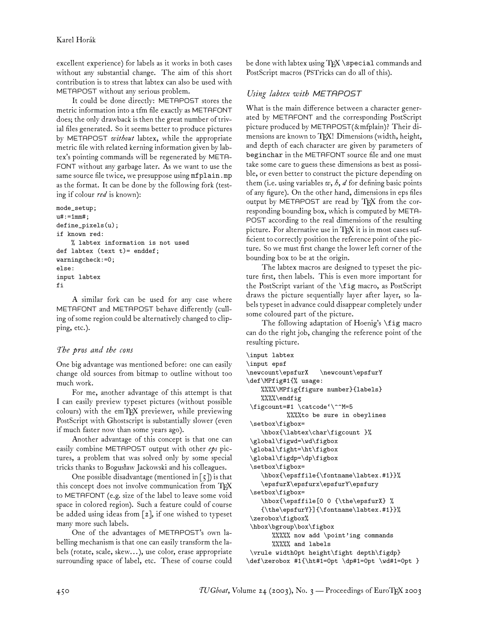excellent experience) for labels as it works in both cases without any substantial change. The aim of this short contribution is to stress that labtex can also be used with METAPOST without any serious problem.

It could be done directly: METAPOST stores the metric information into a tfm file exactly as METAFONT does; the only drawback is then the great number of trivial files generated. So it seems better to produce pictures by METAPOST *without* labtex, while the appropriate metric file with related kerning information given by labtex's pointing commands will be regenerated by META-FONT without any garbage later. As we want to use the same source file twice, we presuppose using mfplain.mp as the format. It can be done by the following fork (testing if colour *red* is known):

```
mode_setup;
u#:=1mm#;
define_pixels(u);
if known red:
    % labtex information is not used
def labtex (text t) = enddef;warningcheck:=0;
else:
input labtex
fi
```
A similar fork can be used for any case where METAFONT and METAPOST behave differently (culling of some region could be alternatively changed to clipping, etc.).

## *The pros and the cons*

One big advantage was mentioned before: one can easily change old sources from bitmap to outline without too much work.

For me, another advantage of this attempt is that I can easily preview typeset pictures (without possible colours) with the emTFX previewer, while previewing PostScript with Ghostscript is substantially slower (even if much faster now than some years ago).

Another advantage of this concept is that one can easily combine METAPOST output with other *eps* pictures, a problem that was solved only by some special tricks thanks to Bogusław Jackowski and his colleagues.

One possible disadvantage (mentioned in  $\lceil 5 \rceil$ ) is that this concept does not involve communication from TEX to METAFONT (e.g. size of the label to leave some void space in colored region). Such a feature could of course be added using ideas from [2], if one wished to typeset many more such labels.

One of the advantages of METAPOST's own labelling mechanism is that one can easily transform the labels (rotate, scale, skew... ), use color, erase appropriate surrounding space of label, etc. These of course could be done with labtex using TFX \special commands and PostScript macros (PSTricks can do all of this).

## *Using labtex with METAPOST*

What is the main difference between a character generated by METAFONT and the corresponding PostScript picture produced by METAPOST(&mfplain)? Their dimensions are known to TFX! Dimensions (width, height, and depth of each character are given by parameters of beginchar in the METAFONT source file and one must take some care to guess these dimensions as best as possible, or even better to construct the picture depending on them (i.e. using variables *w*, *h*, *d* for defining basic points of any figure). On the other hand, dimensions in eps files output by METAPOST are read by TEX from the corresponding bounding box, which is computed by META-POST according to the real dimensions of the resulting picture. For alternative use in TFX it is in most cases sufficient to correctly position the reference point of the picture. So we must first change the lower left corner of the bounding box to be at the origin.

The labtex macros are designed to typeset the picture first, then labels. This is even more important for the PostScript variant of the \fig macro, as PostScript draws the picture sequentially layer after layer, so labels typeset in advance could disappear completely under some coloured part of the picture.

The following adaptation of Hoenig's \fig macro can do the right job, changing the reference point of the resulting picture.

```
\input labtex
\input epsf
\newcount\epsfurX \newcount\epsfurY
\def\MPfig#1{% usage:
   %%%%\MPfig{figure number}{labels}
    \frac{\%}{\%}\end{math} endfig
 \figcount=#1 \catcode'\^^M=5
           %%%%to be sure in obeylines
 \setbox\figbox=
    \hbox{\labtex\char\figcount }%
 \global\figwd=\wd\figbox
 \global\fight=\ht\figbox
 \global\figdp=\dp\figbox
 \setbox\figbox=
    \hbox{\epsffile{\fontname\labtex.#1}}%
    \epsfurX\epsfurx\epsfurY\epsfury
 \setbox\figbox=
    \hbox{\epsffile[0 0 {\the\epsfurX} %
    {\the\epsfurY}]{\fontname\labtex.#1}}%
 \zerobox\figbox%
 \hbox\bgroup\box\figbox
       %%%%% now add \point'ing commands
       %%%%% and labels
 \vrule width0pt height\fight depth\figdp}
\def\zerobox #1{\ht#1=0pt \dp#1=0pt \wd#1=0pt }
```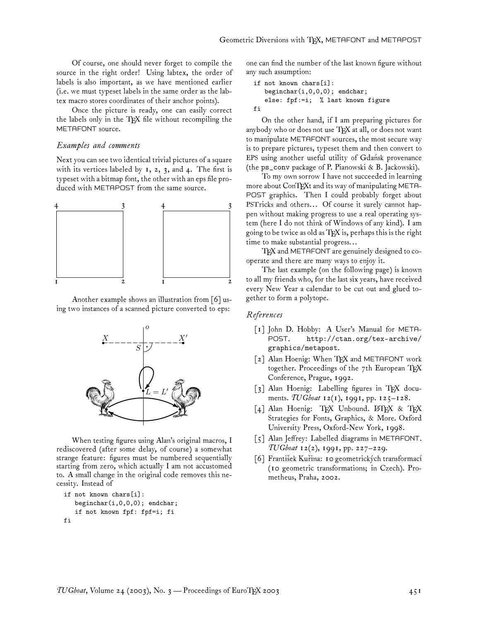Of course, one should never forget to compile the source in the right order! Using labtex, the order of labels is also important, as we have mentioned earlier (i.e. we must typeset labels in the same order as the labtex macro stores coordinates of their anchor points).

Once the picture is ready, one can easily correct the labels only in the TEX file without recompiling the METAFONT source.

### *Examples and comments*

Next you can see two identical trivial pictures of a square with its vertices labeled by  $1, 2, 3$ , and  $4$ . The first is typeset with a bitmap font, the other with an eps file produced with METAPOST from the same source.



Another example shows an illustration from [6] using two instances of a scanned picture converted to eps:



When testing figures using Alan's original macros, I rediscovered (after some delay, of course) a somewhat strange feature: figures must be numbered sequentially starting from zero, which actually I am not accustomed to. A small change in the original code removes this necessity. Instead of

```
if not known chars[i]:
   beginchar(i,0,0,0); endchar;
   if not known fpf: fpf=i; fi
fi
```
one can find the number of the last known figure without any such assumption:

```
if not known chars[i]:
   beginchar(i,0,0,0); endchar;
   else: fpf:=i; % last known figure
fi
```
On the other hand, if I am preparing pictures for anybody who or does not use  $T_{F}X$  at all, or does not want to manipulate METAFONT sources, the most secure way is to prepare pictures, typeset them and then convert to EPS using another useful utility of Gdansk provenance (the ps\_conv package of P. Pianowski & B. Jackowski).

To my own sorrow I have not succeeded in learning more about ConTEXt and its way of manipulating META-POST graphics. Then I could probably forget about PSTricks and others... Of course it surely cannot happen without making progress to use a real operating system (here I do not think of Windows of any kind). I am going to be twice as old as TEX is, perhaps this is the right time to make substantial progress...

TFX and METAFONT are genuinely designed to cooperate and there are many ways to enjoy it.

The last example (on the following page) is known to all my friends who, for the last six years, have received every New Year a calendar to be cut out and glued together to form a polytope.

### *References*

- [1] John D. Hobby: A User's Manual for META-POST. http://ctan.org/tex-archive/ graphics/metapost.
- [2] Alan Hoenig: When TFX and METAFONT work together. Proceedings of the 7th European TFX Conference, Prague, 1992.
- [3] Alan Hoenig: Labelling figures in TFX documents. *TUGboat* 12(1), 1991, pp. 125–128.
- [4] Alan Hoenig: TEX Unbound. LATEX & TEX Strategies for Fonts, Graphics, & More. Oxford University Press, Oxford-New York, 1998.
- [5] Alan Jeffrey: Labelled diagrams in METAFONT. *TUGboat* 12(2), 1991, pp. 227–229.
- [6] František Kuřina: 10 geometrických transformací (10 geometric transformations; in Czech). Prometheus, Praha, 2002.